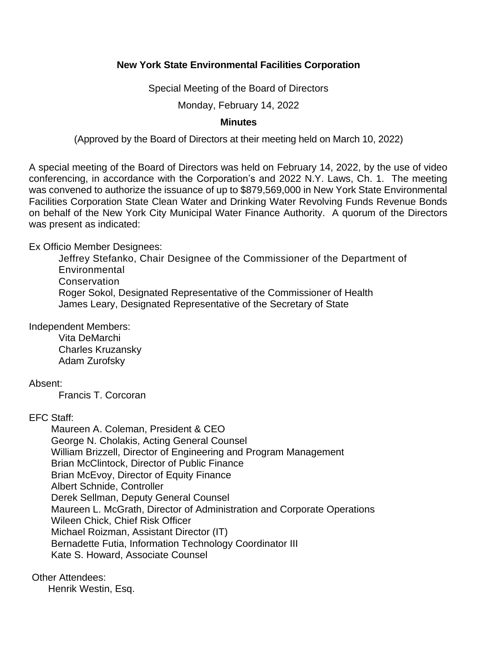## **New York State Environmental Facilities Corporation**

Special Meeting of the Board of Directors

Monday, February 14, 2022

## **Minutes**

(Approved by the Board of Directors at their meeting held on March 10, 2022)

 A special meeting of the Board of Directors was held on February 14, 2022, by the use of video conferencing, in accordance with the Corporation's and 2022 N.Y. Laws, Ch. 1. The meeting was convened to authorize the issuance of up to \$879,569,000 in New York State Environmental Facilities Corporation State Clean Water and Drinking Water Revolving Funds Revenue Bonds on behalf of the New York City Municipal Water Finance Authority. A quorum of the Directors was present as indicated:

## Ex Officio Member Designees:

 Jeffrey Stefanko, Chair Designee of the Commissioner of the Department of Environmental **Conservation** Roger Sokol, Designated Representative of the Commissioner of Health James Leary, Designated Representative of the Secretary of State

Independent Members:

Vita DeMarchi Charles Kruzansky Adam Zurofsky

Absent:

Francis T. Corcoran

EFC Staff:

Maureen A. Coleman, President & CEO George N. Cholakis, Acting General Counsel William Brizzell, Director of Engineering and Program Management Brian McClintock, Director of Public Finance Brian McEvoy, Director of Equity Finance Albert Schnide, Controller Derek Sellman, Deputy General Counsel Maureen L. McGrath, Director of Administration and Corporate Operations Wileen Chick, Chief Risk Officer Michael Roizman, Assistant Director (IT) Bernadette Futia, Information Technology Coordinator III Kate S. Howard, Associate Counsel

Other Attendees:

Henrik Westin, Esq.